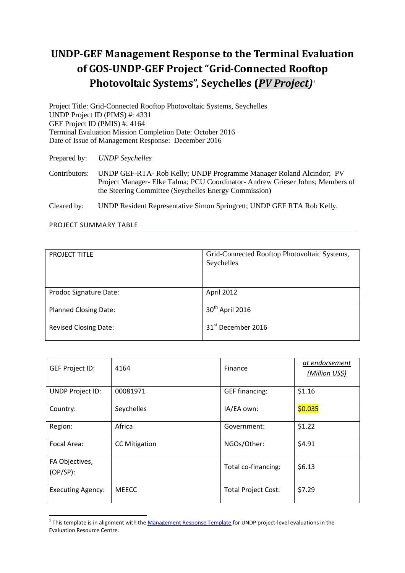# **UNDP-GEF Management Response to the Terminal Evaluation of GOS-UNDP-GEF Project "Grid-Connected Rooftop Photovoltaic Systems", Seychelles (***PV Project)* 1

Project Title: Grid-Connected Rooftop Photovoltaic Systems, Seychelles UNDP Project ID (PIMS) #: 4331 GEF Project ID (PMIS) #: 4164 Terminal Evaluation Mission Completion Date: October 2016 Date of Issue of Management Response: December 2016

Prepared by: *UNDP Seychelles*

Contributors: UNDP GEF-RTA- Rob Kelly; UNDP Programme Manager Roland Alcindor; PV Project Manager- Elke Talma; PCU Coordinator- Andrew Grieser Johns; Members of the Steering Committee (Seychelles Energy Commission)

Cleared by: UNDP Resident Representative Simon Springrett; UNDP GEF RTA Rob Kelly.

|--|

| <b>PROJECT TITLE</b>         | Grid-Connected Rooftop Photovoltaic Systems,<br>Seychelles |
|------------------------------|------------------------------------------------------------|
|                              |                                                            |
| Prodoc Signature Date:       | April 2012                                                 |
| <b>Planned Closing Date:</b> | 30 <sup>th</sup> April 2016                                |
| <b>Revised Closing Date:</b> | 31 <sup>st</sup> December 2016                             |

| <b>GEF Project ID:</b>        | 4164                 | <b>Finance</b>             | at endorsement<br>(Million US\$) |
|-------------------------------|----------------------|----------------------------|----------------------------------|
| <b>UNDP Project ID:</b>       | 00081971             | <b>GEF financing:</b>      | \$1.16                           |
| Country:                      | Seychelles           | IA/EA own:                 | \$0.035                          |
| Region:                       | Africa               | Government:                | \$1.22                           |
| Focal Area:                   | <b>CC Mitigation</b> | NGOs/Other:                | \$4.91                           |
| FA Objectives,<br>$(OP/SP)$ : |                      | Total co-financing:        | \$6.13                           |
| <b>Executing Agency:</b>      | <b>MEECC</b>         | <b>Total Project Cost:</b> | \$7.29                           |

<sup>&</sup>lt;u>1</u><br><sup>1</sup> This template is in alignment with the <u>Management Response Template</u> for UNDP project-level evaluations in the Evaluation Resource Centre.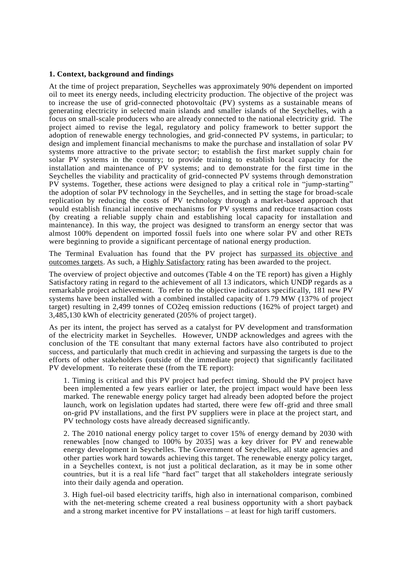#### **1. Context, background and findings**

At the time of project preparation, Seychelles was approximately 90% dependent on imported oil to meet its energy needs, including electricity production. The objective of the project was to increase the use of grid-connected photovoltaic (PV) systems as a sustainable means of generating electricity in selected main islands and smaller islands of the Seychelles, with a focus on small-scale producers who are already connected to the national electricity grid. The project aimed to revise the legal, regulatory and policy framework to better support the adoption of renewable energy technologies, and grid-connected PV systems, in particular; to design and implement financial mechanisms to make the purchase and installation of solar PV systems more attractive to the private sector; to establish the first market supply chain for solar PV systems in the country; to provide training to establish local capacity for the installation and maintenance of PV systems; and to demonstrate for the first time in the Seychelles the viability and practicality of grid-connected PV systems through demonstration PV systems. Together, these actions were designed to play a critical role in "jump-starting" the adoption of solar PV technology in the Seychelles, and in setting the stage for broad-scale replication by reducing the costs of PV technology through a market-based approach that would establish financial incentive mechanisms for PV systems and reduce transaction costs (by creating a reliable supply chain and establishing local capacity for installation and maintenance). In this way, the project was designed to transform an energy sector that was almost 100% dependent on imported fossil fuels into one where solar PV and other RETs were beginning to provide a significant percentage of national energy production.

The Terminal Evaluation has found that the PV project has surpassed its objective and outcomes targets. As such, a Highly Satisfactory rating has been awarded to the project.

The overview of project objective and outcomes (Table 4 on the TE report) has given a Highly Satisfactory rating in regard to the achievement of all 13 indicators, which UNDP regards as a remarkable project achievement. To refer to the objective indicators specifically, 181 new PV systems have been installed with a combined installed capacity of 1.79 MW (137% of project target) resulting in 2,499 tonnes of CO2eq emission reductions (162% of project target) and 3,485,130 kWh of electricity generated (205% of project target).

As per its intent, the project has served as a catalyst for PV development and transformation of the electricity market in Seychelles. However, UNDP acknowledges and agrees with the conclusion of the TE consultant that many external factors have also contributed to project success, and particularly that much credit in achieving and surpassing the targets is due to the efforts of other stakeholders (outside of the immediate project) that significantly facilitated PV development. To reiterate these (from the TE report):

1. Timing is critical and this PV project had perfect timing. Should the PV project have been implemented a few years earlier or later, the project impact would have been less marked. The renewable energy policy target had already been adopted before the project launch, work on legislation updates had started, there were few off-grid and three small on-grid PV installations, and the first PV suppliers were in place at the project start, and PV technology costs have already decreased significantly.

2. The 2010 national energy policy target to cover 15% of energy demand by 2030 with renewables [now changed to 100% by 2035] was a key driver for PV and renewable energy development in Seychelles. The Government of Seychelles, all state agencies and other parties work hard towards achieving this target. The renewable energy policy target, in a Seychelles context, is not just a political declaration, as it may be in some other countries, but it is a real life "hard fact" target that all stakeholders integrate seriously into their daily agenda and operation.

3. High fuel-oil based electricity tariffs, high also in international comparison, combined with the net-metering scheme created a real business opportunity with a short payback and a strong market incentive for PV installations – at least for high tariff customers.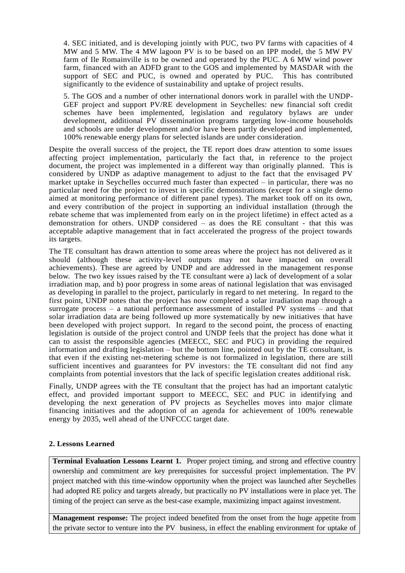4. SEC initiated, and is developing jointly with PUC, two PV farms with capacities of 4 MW and 5 MW. The 4 MW lagoon PV is to be based on an IPP model, the 5 MW PV farm of Ile Romainville is to be owned and operated by the PUC. A 6 MW wind power farm, financed with an ADFD grant to the GOS and implemented by MASDAR with the support of SEC and PUC, is owned and operated by PUC. This has contributed significantly to the evidence of sustainability and uptake of project results.

5. The GOS and a number of other international donors work in parallel with the UNDP-GEF project and support PV/RE development in Seychelles: new financial soft credit schemes have been implemented, legislation and regulatory bylaws are under development, additional PV dissemination programs targeting low-income households and schools are under development and/or have been partly developed and implemented, 100% renewable energy plans for selected islands are under consideration.

Despite the overall success of the project, the TE report does draw attention to some issues affecting project implementation, particularly the fact that, in reference to the project document, the project was implemented in a different way than originally planned. This is considered by UNDP as adaptive management to adjust to the fact that the envisaged PV market uptake in Seychelles occurred much faster than expected – in particular, there was no particular need for the project to invest in specific demonstrations (except for a single demo aimed at monitoring performance of different panel types). The market took off on its own, and every contribution of the project in supporting an individual installation (through the rebate scheme that was implemented from early on in the project lifetime) in effect acted as a demonstration for others. UNDP considered – as does the RE consultant - that this was acceptable adaptive management that in fact accelerated the progress of the project towards its targets.

The TE consultant has drawn attention to some areas where the project has not delivered as it should (although these activity-level outputs may not have impacted on overall achievements). These are agreed by UNDP and are addressed in the management response below. The two key issues raised by the TE consultant were a) lack of development of a solar irradiation map, and b) poor progress in some areas of national legislation that was envisaged as developing in parallel to the project, particularly in regard to net metering. In regard to the first point, UNDP notes that the project has now completed a solar irradiation map through a surrogate process – a national performance assessment of installed PV systems – and that solar irradiation data are being followed up more systematically by new initiatives that have been developed with project support. In regard to the second point, the process of enacting legislation is outside of the project control and UNDP feels that the project has done what it can to assist the responsible agencies (MEECC, SEC and PUC) in providing the required information and drafting legislation – but the bottom line, pointed out by the TE consultant, is that even if the existing net-metering scheme is not formalized in legislation, there are still sufficient incentives and guarantees for PV investors: the TE consultant did not find any complaints from potential investors that the lack of specific legislation creates additional risk.

Finally, UNDP agrees with the TE consultant that the project has had an important catalytic effect, and provided important support to MEECC, SEC and PUC in identifying and developing the next generation of PV projects as Seychelles moves into major climate financing initiatives and the adoption of an agenda for achievement of 100% renewable energy by 2035, well ahead of the UNFCCC target date.

#### **2. Lessons Learned**

**Terminal Evaluation Lessons Learnt 1.** Proper project timing, and strong and effective country ownership and commitment are key prerequisites for successful project implementation. The PV project matched with this time-window opportunity when the project was launched after Seychelles had adopted RE policy and targets already, but practically no PV installations were in place yet. The timing of the project can serve as the best-case example, maximizing impact against investment.

**Management response:** The project indeed benefited from the onset from the huge appetite from the private sector to venture into the PV business, in effect the enabling environment for uptake of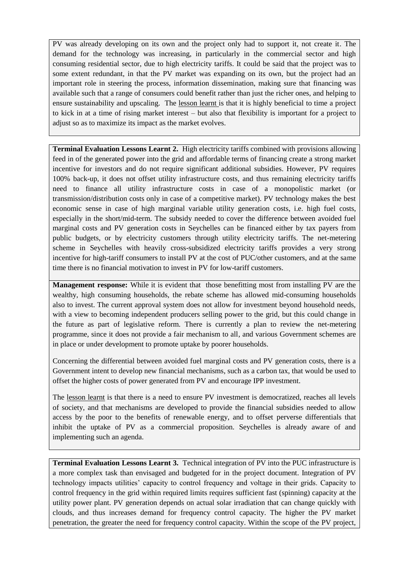PV was already developing on its own and the project only had to support it, not create it. The demand for the technology was increasing, in particularly in the commercial sector and high consuming residential sector, due to high electricity tariffs. It could be said that the project was to some extent redundant, in that the PV market was expanding on its own, but the project had an important role in steering the process, information dissemination, making sure that financing was available such that a range of consumers could benefit rather than just the richer ones, and helping to ensure sustainability and upscaling. The lesson learnt is that it is highly beneficial to time a project to kick in at a time of rising market interest – but also that flexibility is important for a project to adjust so as to maximize its impact as the market evolves.

**Terminal Evaluation Lessons Learnt 2.** High electricity tariffs combined with provisions allowing feed in of the generated power into the grid and affordable terms of financing create a strong market incentive for investors and do not require significant additional subsidies. However, PV requires 100% back-up, it does not offset utility infrastructure costs, and thus remaining electricity tariffs need to finance all utility infrastructure costs in case of a monopolistic market (or transmission/distribution costs only in case of a competitive market). PV technology makes the best economic sense in case of high marginal variable utility generation costs, i.e. high fuel costs, especially in the short/mid-term. The subsidy needed to cover the difference between avoided fuel marginal costs and PV generation costs in Seychelles can be financed either by tax payers from public budgets, or by electricity customers through utility electricity tariffs. The net-metering scheme in Seychelles with heavily cross-subsidized electricity tariffs provides a very strong incentive for high-tariff consumers to install PV at the cost of PUC/other customers, and at the same time there is no financial motivation to invest in PV for low-tariff customers.

**Management response:** While it is evident that those benefitting most from installing PV are the wealthy, high consuming households, the rebate scheme has allowed mid-consuming households also to invest. The current approval system does not allow for investment beyond household needs, with a view to becoming independent producers selling power to the grid, but this could change in the future as part of legislative reform. There is currently a plan to review the net-metering programme, since it does not provide a fair mechanism to all, and various Government schemes are in place or under development to promote uptake by poorer households.

Concerning the differential between avoided fuel marginal costs and PV generation costs, there is a Government intent to develop new financial mechanisms, such as a carbon tax, that would be used to offset the higher costs of power generated from PV and encourage IPP investment.

The lesson learnt is that there is a need to ensure PV investment is democratized, reaches all levels of society, and that mechanisms are developed to provide the financial subsidies needed to allow access by the poor to the benefits of renewable energy, and to offset perverse differentials that inhibit the uptake of PV as a commercial proposition. Seychelles is already aware of and implementing such an agenda.

**Terminal Evaluation Lessons Learnt 3.** Technical integration of PV into the PUC infrastructure is a more complex task than envisaged and budgeted for in the project document. Integration of PV technology impacts utilities' capacity to control frequency and voltage in their grids. Capacity to control frequency in the grid within required limits requires sufficient fast (spinning) capacity at the utility power plant. PV generation depends on actual solar irradiation that can change quickly with clouds, and thus increases demand for frequency control capacity. The higher the PV market penetration, the greater the need for frequency control capacity. Within the scope of the PV project,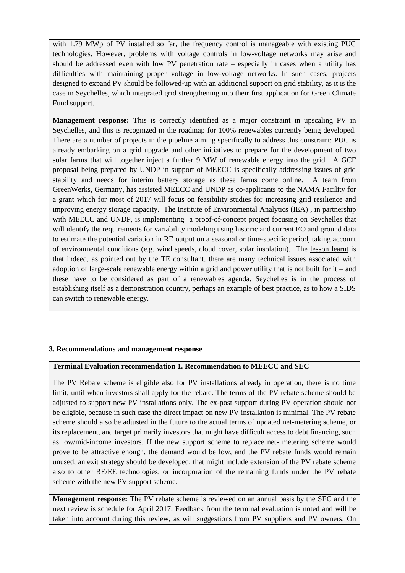with 1.79 MWp of PV installed so far, the frequency control is manageable with existing PUC technologies. However, problems with voltage controls in low-voltage networks may arise and should be addressed even with low PV penetration rate – especially in cases when a utility has difficulties with maintaining proper voltage in low-voltage networks. In such cases, projects designed to expand PV should be followed-up with an additional support on grid stability, as it is the case in Seychelles, which integrated grid strengthening into their first application for Green Climate Fund support.

**Management response:** This is correctly identified as a major constraint in upscaling PV in Seychelles, and this is recognized in the roadmap for 100% renewables currently being developed. There are a number of projects in the pipeline aiming specifically to address this constraint: PUC is already embarking on a grid upgrade and other initiatives to prepare for the development of two solar farms that will together inject a further 9 MW of renewable energy into the grid. A GCF proposal being prepared by UNDP in support of MEECC is specifically addressing issues of grid stability and needs for interim battery storage as these farms come online. A team from GreenWerks, Germany, has assisted MEECC and UNDP as co-applicants to the NAMA Facility for a grant which for most of 2017 will focus on feasibility studies for increasing grid resilience and improving energy storage capacity. The Institute of Environmental Analytics (IEA) , in partnership with MEECC and UNDP, is implementing a proof-of-concept project focusing on Seychelles that will identify the requirements for variability modeling using historic and current EO and ground data to estimate the potential variation in RE output on a seasonal or time-specific period, taking account of environmental conditions (e.g. wind speeds, cloud cover, solar insolation). The lesson learnt is that indeed, as pointed out by the TE consultant, there are many technical issues associated with adoption of large-scale renewable energy within a grid and power utility that is not built for  $it -$  and these have to be considered as part of a renewables agenda. Seychelles is in the process of establishing itself as a demonstration country, perhaps an example of best practice, as to how a SIDS can switch to renewable energy.

#### **3. Recommendations and management response**

#### **Terminal Evaluation recommendation 1. Recommendation to MEECC and SEC**

The PV Rebate scheme is eligible also for PV installations already in operation, there is no time limit, until when investors shall apply for the rebate. The terms of the PV rebate scheme should be adjusted to support new PV installations only. The ex-post support during PV operation should not be eligible, because in such case the direct impact on new PV installation is minimal. The PV rebate scheme should also be adjusted in the future to the actual terms of updated net-metering scheme, or its replacement, and target primarily investors that might have difficult access to debt financing, such as low/mid-income investors. If the new support scheme to replace net- metering scheme would prove to be attractive enough, the demand would be low, and the PV rebate funds would remain unused, an exit strategy should be developed, that might include extension of the PV rebate scheme also to other RE/EE technologies, or incorporation of the remaining funds under the PV rebate scheme with the new PV support scheme.

**Management response:** The PV rebate scheme is reviewed on an annual basis by the SEC and the next review is schedule for April 2017. Feedback from the terminal evaluation is noted and will be taken into account during this review, as will suggestions from PV suppliers and PV owners. On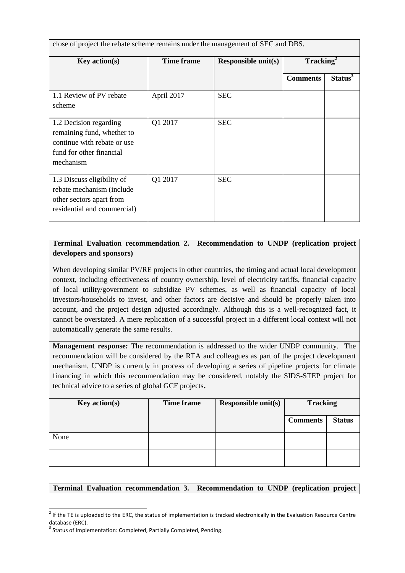close of project the rebate scheme remains under the management of SEC and DBS.

| <b>Key action(s)</b>                                                                                                         | <b>Time frame</b> | <b>Responsible unit(s)</b> | $\textbf{Tracking}^2$ |                     |
|------------------------------------------------------------------------------------------------------------------------------|-------------------|----------------------------|-----------------------|---------------------|
|                                                                                                                              |                   |                            | <b>Comments</b>       | Status <sup>3</sup> |
| 1.1 Review of PV rebate<br>scheme                                                                                            | April 2017        | <b>SEC</b>                 |                       |                     |
| 1.2 Decision regarding<br>remaining fund, whether to<br>continue with rebate or use<br>fund for other financial<br>mechanism | Q1 2017           | <b>SEC</b>                 |                       |                     |
| 1.3 Discuss eligibility of<br>rebate mechanism (include<br>other sectors apart from<br>residential and commercial)           | Q1 2017           | <b>SEC</b>                 |                       |                     |

# **Terminal Evaluation recommendation 2. Recommendation to UNDP (replication project developers and sponsors)**

When developing similar PV/RE projects in other countries, the timing and actual local development context, including effectiveness of country ownership, level of electricity tariffs, financial capacity of local utility/government to subsidize PV schemes, as well as financial capacity of local investors/households to invest, and other factors are decisive and should be properly taken into account, and the project design adjusted accordingly. Although this is a well-recognized fact, it cannot be overstated. A mere replication of a successful project in a different local context will not automatically generate the same results.

**Management response:** The recommendation is addressed to the wider UNDP community. The recommendation will be considered by the RTA and colleagues as part of the project development mechanism. UNDP is currently in process of developing a series of pipeline projects for climate financing in which this recommendation may be considered, notably the SIDS-STEP project for technical advice to a series of global GCF projects**.**

| <b>Key action(s)</b> | Time frame | <b>Responsible unit(s)</b> | <b>Tracking</b> |               |
|----------------------|------------|----------------------------|-----------------|---------------|
|                      |            |                            | <b>Comments</b> | <b>Status</b> |
| None                 |            |                            |                 |               |
|                      |            |                            |                 |               |

#### **Terminal Evaluation recommendation 3. Recommendation to UNDP (replication project**

l

 $2$  If the TE is uploaded to the ERC, the status of implementation is tracked electronically in the Evaluation Resource Centre database (ERC).

<sup>&</sup>lt;sup>3</sup> Status of Implementation: Completed, Partially Completed, Pending.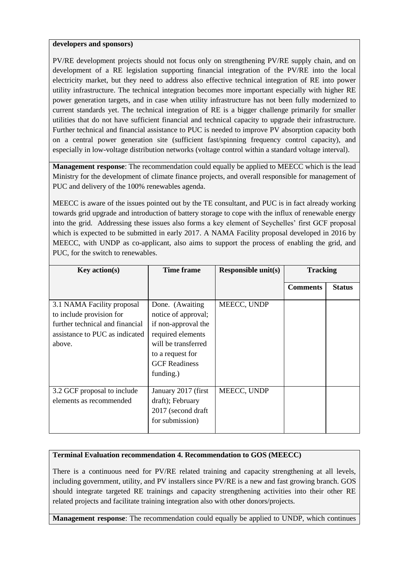#### **developers and sponsors)**

PV/RE development projects should not focus only on strengthening PV/RE supply chain, and on development of a RE legislation supporting financial integration of the PV/RE into the local electricity market, but they need to address also effective technical integration of RE into power utility infrastructure. The technical integration becomes more important especially with higher RE power generation targets, and in case when utility infrastructure has not been fully modernized to current standards yet. The technical integration of RE is a bigger challenge primarily for smaller utilities that do not have sufficient financial and technical capacity to upgrade their infrastructure. Further technical and financial assistance to PUC is needed to improve PV absorption capacity both on a central power generation site (sufficient fast/spinning frequency control capacity), and especially in low-voltage distribution networks (voltage control within a standard voltage interval).

**Management response**: The recommendation could equally be applied to MEECC which is the lead Ministry for the development of climate finance projects, and overall responsible for management of PUC and delivery of the 100% renewables agenda.

MEECC is aware of the issues pointed out by the TE consultant, and PUC is in fact already working towards grid upgrade and introduction of battery storage to cope with the influx of renewable energy into the grid. Addressing these issues also forms a key element of Seychelles' first GCF proposal which is expected to be submitted in early 2017. A NAMA Facility proposal developed in 2016 by MEECC, with UNDP as co-applicant, also aims to support the process of enabling the grid, and PUC, for the switch to renewables.

| <b>Key action(s)</b>                                                                                                                  | <b>Time frame</b>                                                                                                                                                  | <b>Responsible unit(s)</b> | <b>Tracking</b> |               |
|---------------------------------------------------------------------------------------------------------------------------------------|--------------------------------------------------------------------------------------------------------------------------------------------------------------------|----------------------------|-----------------|---------------|
|                                                                                                                                       |                                                                                                                                                                    |                            | <b>Comments</b> | <b>Status</b> |
| 3.1 NAMA Facility proposal<br>to include provision for<br>further technical and financial<br>assistance to PUC as indicated<br>above. | Done. (Awaiting<br>notice of approval;<br>if non-approval the<br>required elements<br>will be transferred<br>to a request for<br><b>GCF</b> Readiness<br>funding.) | MEECC, UNDP                |                 |               |
| 3.2 GCF proposal to include<br>elements as recommended                                                                                | January 2017 (first)<br>draft); February<br>2017 (second draft)<br>for submission)                                                                                 | MEECC, UNDP                |                 |               |

## **Terminal Evaluation recommendation 4. Recommendation to GOS (MEECC)**

There is a continuous need for PV/RE related training and capacity strengthening at all levels, including government, utility, and PV installers since PV/RE is a new and fast growing branch. GOS should integrate targeted RE trainings and capacity strengthening activities into their other RE related projects and facilitate training integration also with other donors/projects.

**Management response**: The recommendation could equally be applied to UNDP, which continues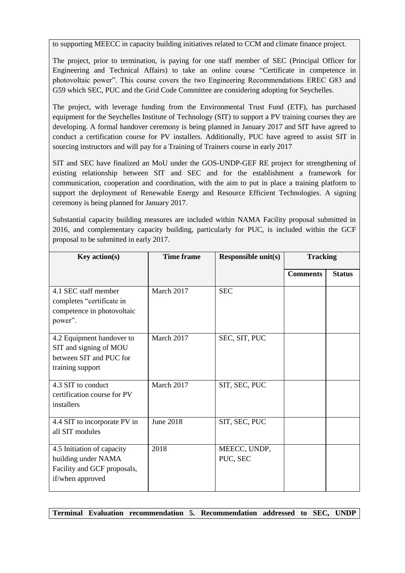to supporting MEECC in capacity building initiatives related to CCM and climate finance project.

The project, prior to termination, is paying for one staff member of SEC (Principal Officer for Engineering and Technical Affairs) to take an online course "Certificate in competence in photovoltaic power". This course covers the two Engineering Recommendations EREC G83 and G59 which SEC, PUC and the Grid Code Committee are considering adopting for Seychelles.

The project, with leverage funding from the Environmental Trust Fund (ETF), has purchased equipment for the Seychelles Institute of Technology (SIT) to support a PV training courses they are developing. A formal handover ceremony is being planned in January 2017 and SIT have agreed to conduct a certification course for PV installers. Additionally, PUC have agreed to assist SIT in sourcing instructors and will pay for a Training of Trainers course in early 2017

SIT and SEC have finalized an MoU under the GOS-UNDP-GEF RE project for strengthening of existing relationship between SIT and SEC and for the establishment a framework for communication, cooperation and coordination, with the aim to put in place a training platform to support the deployment of Renewable Energy and Resource Efficient Technologies. A signing ceremony is being planned for January 2017.

Substantial capacity building measures are included within NAMA Facility proposal submitted in 2016, and complementary capacity building, particularly for PUC, is included within the GCF proposal to be submitted in early 2017.

| <b>Key action(s)</b>                                                                                 | <b>Time frame</b> | <b>Responsible unit(s)</b> | <b>Tracking</b> |               |
|------------------------------------------------------------------------------------------------------|-------------------|----------------------------|-----------------|---------------|
|                                                                                                      |                   |                            | <b>Comments</b> | <b>Status</b> |
| 4.1 SEC staff member<br>completes "certificate in<br>competence in photovoltaic<br>power".           | March 2017        | <b>SEC</b>                 |                 |               |
| 4.2 Equipment handover to<br>SIT and signing of MOU<br>between SIT and PUC for<br>training support   | March 2017        | SEC, SIT, PUC              |                 |               |
| 4.3 SIT to conduct<br>certification course for PV<br>installers                                      | March 2017        | SIT, SEC, PUC              |                 |               |
| 4.4 SIT to incorporate PV in<br>all SIT modules                                                      | <b>June 2018</b>  | SIT, SEC, PUC              |                 |               |
| 4.5 Initiation of capacity<br>building under NAMA<br>Facility and GCF proposals,<br>if/when approved | 2018              | MEECC, UNDP,<br>PUC, SEC   |                 |               |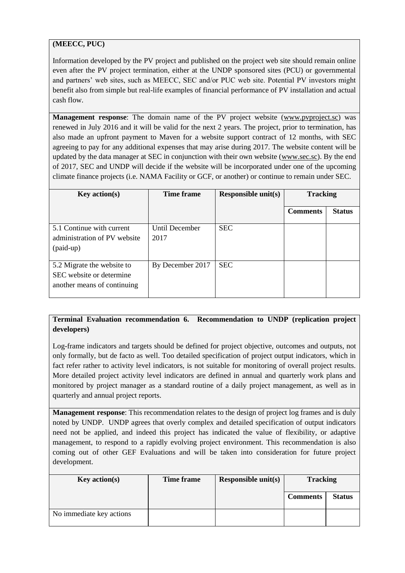# **(MEECC, PUC)**

Information developed by the PV project and published on the project web site should remain online even after the PV project termination, either at the UNDP sponsored sites (PCU) or governmental and partners' web sites, such as MEECC, SEC and/or PUC web site. Potential PV investors might benefit also from simple but real-life examples of financial performance of PV installation and actual cash flow.

**Management response**: The domain name of the PV project website [\(www.pvproject.sc\)](http://www.pvproject.sc/) was renewed in July 2016 and it will be valid for the next 2 years. The project, prior to termination, has also made an upfront payment to Maven for a website support contract of 12 months, with SEC agreeing to pay for any additional expenses that may arise during 2017. The website content will be updated by the data manager at SEC in conjunction with their own website [\(www.sec.sc\)](http://www.sec.sc/). By the end of 2017, SEC and UNDP will decide if the website will be incorporated under one of the upcoming climate finance projects (i.e. NAMA Facility or GCF, or another) or continue to remain under SEC.

| Key action(s)                                                                         | <b>Time frame</b>      | <b>Responsible unit(s)</b> | <b>Tracking</b> |               |
|---------------------------------------------------------------------------------------|------------------------|----------------------------|-----------------|---------------|
|                                                                                       |                        |                            | <b>Comments</b> | <b>Status</b> |
| 5.1 Continue with current<br>administration of PV website<br>$$ (paid-up)             | Until December<br>2017 | <b>SEC</b>                 |                 |               |
| 5.2 Migrate the website to<br>SEC website or determine<br>another means of continuing | By December 2017       | <b>SEC</b>                 |                 |               |

# **Terminal Evaluation recommendation 6. Recommendation to UNDP (replication project developers)**

Log-frame indicators and targets should be defined for project objective, outcomes and outputs, not only formally, but de facto as well. Too detailed specification of project output indicators, which in fact refer rather to activity level indicators, is not suitable for monitoring of overall project results. More detailed project activity level indicators are defined in annual and quarterly work plans and monitored by project manager as a standard routine of a daily project management, as well as in quarterly and annual project reports.

**Management response**: This recommendation relates to the design of project log frames and is duly noted by UNDP. UNDP agrees that overly complex and detailed specification of output indicators need not be applied, and indeed this project has indicated the value of flexibility, or adaptive management, to respond to a rapidly evolving project environment. This recommendation is also coming out of other GEF Evaluations and will be taken into consideration for future project development.

| Key action(s)            | <b>Time frame</b> | Responsible unit(s) | <b>Tracking</b> |               |
|--------------------------|-------------------|---------------------|-----------------|---------------|
|                          |                   |                     | <b>Comments</b> | <b>Status</b> |
| No immediate key actions |                   |                     |                 |               |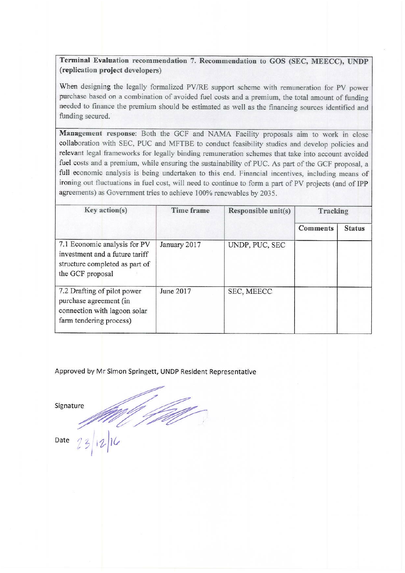# Terminal Evaluation recommendation 7. Recommendation to GOS (SEC, MEECC), UNDP (replication project developers)

When designing the legally formalized PV/RE support scheme with remuneration for PV power purchase based on a combination of avoided fuel costs and a premium, the total amount of funding needed to finance the premium should be estimated as well as the financing sources identified and funding secured.

Management response: Both the GCF and NAMA Facility proposals aim to work in close collaboration with SEC, PUC and MFTBE to conduct feasibility studies and develop policies and relevant legal frameworks for legally binding remuneration schemes that take into account avoided fuel costs and a premium, while ensuring the sustainability of PUC. As part of the GCF proposal, a full economic analysis is being undertaken to this end. Financial incentives, including means of ironing out fluctuations in fuel cost, will need to continue to form a part of PV projects (and of IPP agreements) as Government tries to achieve 100% renewables by 2035.

| Key action(s)                                                                                                        | <b>Time frame</b> | Responsible unit(s)<br>Tracking |                 |               |
|----------------------------------------------------------------------------------------------------------------------|-------------------|---------------------------------|-----------------|---------------|
|                                                                                                                      |                   |                                 | <b>Comments</b> | <b>Status</b> |
| 7.1 Economic analysis for PV<br>investment and a future tariff<br>structure completed as part of<br>the GCF proposal | January 2017      | UNDP, PUC, SEC                  |                 |               |
| 7.2 Drafting of pilot power<br>purchase agreement (in<br>connection with lagoon solar<br>farm tendering process)     | June 2017         | SEC, MEECC                      |                 |               |

Approved by Mr Simon Springett, UNDP Resident Representative

Signature

Date